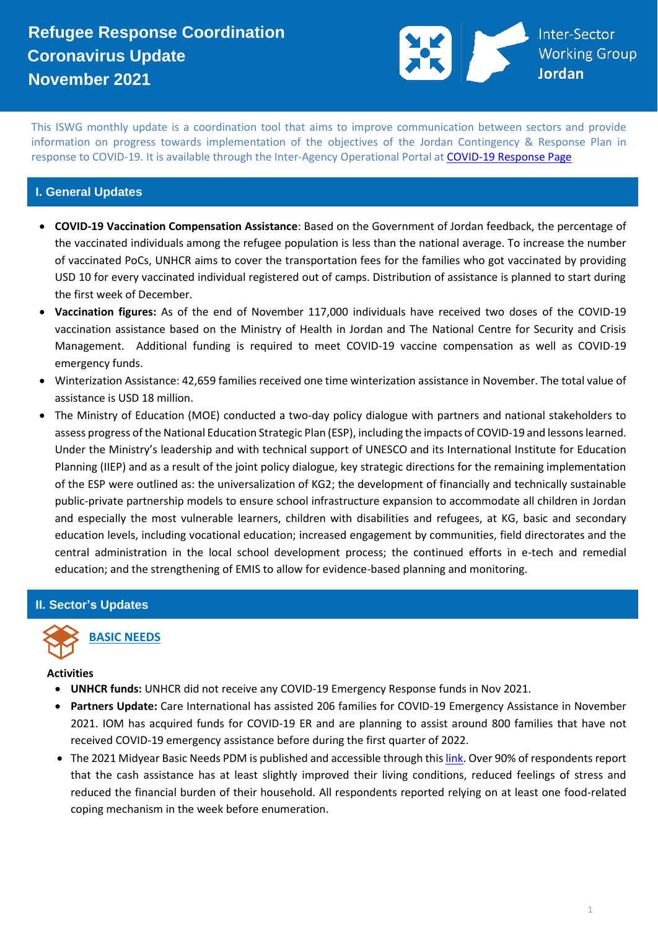# **Refugee Response Coordination Coronavirus Update November 2021**



This ISWG monthly update is a coordination tool that aims to improve communication between sectors and provide information on progress towards implementation of the objectives of the Jordan Contingency & Response Plan in response to COVID-19. It is available through the Inter-Agency Operational Portal a[t COVID-19 Response Page](https://eur02.safelinks.protection.outlook.com/?url=https%3A%2F%2Fdata2.unhcr.org%2Fen%2Fworking-group%2F251%3Fsv%3D4%26geo%3D36&data=02%7C01%7Cbyunc%40unhcr.org%7C0621d0ad56f141cfe71708d7d3d2dc45%7Ce5c37981666441348a0c6543d2af80be%7C0%7C0%7C637210774895002030&sdata=aPEtg5vDIBj3A4AWkO5sOLo7pACA7Q8cjR8bwQyAa8c%3D&reserved=0)

### **I. General Updates**

- **COVID-19 Vaccination Compensation Assistance**: Based on the Government of Jordan feedback, the percentage of the vaccinated individuals among the refugee population is less than the national average. To increase the number of vaccinated PoCs, UNHCR aims to cover the transportation fees for the families who got vaccinated by providing USD 10 for every vaccinated individual registered out of camps. Distribution of assistance is planned to start during the first week of December.
- **Vaccination figures:** As of the end of November 117,000 individuals have received two doses of the COVID-19 vaccination assistance based on the Ministry of Health in Jordan and The National Centre for Security and Crisis Management. Additional funding is required to meet COVID-19 vaccine compensation as well as COVID-19 emergency funds.
- Winterization Assistance: 42,659 families received one time winterization assistance in November. The total value of assistance is USD 18 million.
- The Ministry of Education (MOE) conducted a two-day policy dialogue with partners and national stakeholders to assess progress of the National Education Strategic Plan (ESP), including the impacts of COVID-19 and lessons learned. Under the Ministry's leadership and with technical support of UNESCO and its International Institute for Education Planning (IIEP) and as a result of the joint policy dialogue, key strategic directions for the remaining implementation of the ESP were outlined as: the universalization of KG2; the development of financially and technically sustainable public-private partnership models to ensure school infrastructure expansion to accommodate all children in Jordan and especially the most vulnerable learners, children with disabilities and refugees, at KG, basic and secondary education levels, including vocational education; increased engagement by communities, field directorates and the central administration in the local school development process; the continued efforts in e-tech and remedial education; and the strengthening of EMIS to allow for evidence-based planning and monitoring.

#### **II. Sector's Updates**



### **BASIC NEEDS**

#### **Activities**

- **UNHCR funds:** UNHCR did not receive any COVID-19 Emergency Response funds in Nov 2021.
- **Partners Update:** Care International has assisted 206 families for COVID-19 Emergency Assistance in November 2021. IOM has acquired funds for COVID-19 ER and are planning to assist around 800 families that have not received COVID-19 emergency assistance before during the first quarter of 2022.
- The 2021 Midyear Basic Needs PDM is published and accessible through thi[s link.](https://data2.unhcr.org/en/documents/details/89953) Over 90% of respondents report that the cash assistance has at least slightly improved their living conditions, reduced feelings of stress and reduced the financial burden of their household. All respondents reported relying on at least one food-related coping mechanism in the week before enumeration.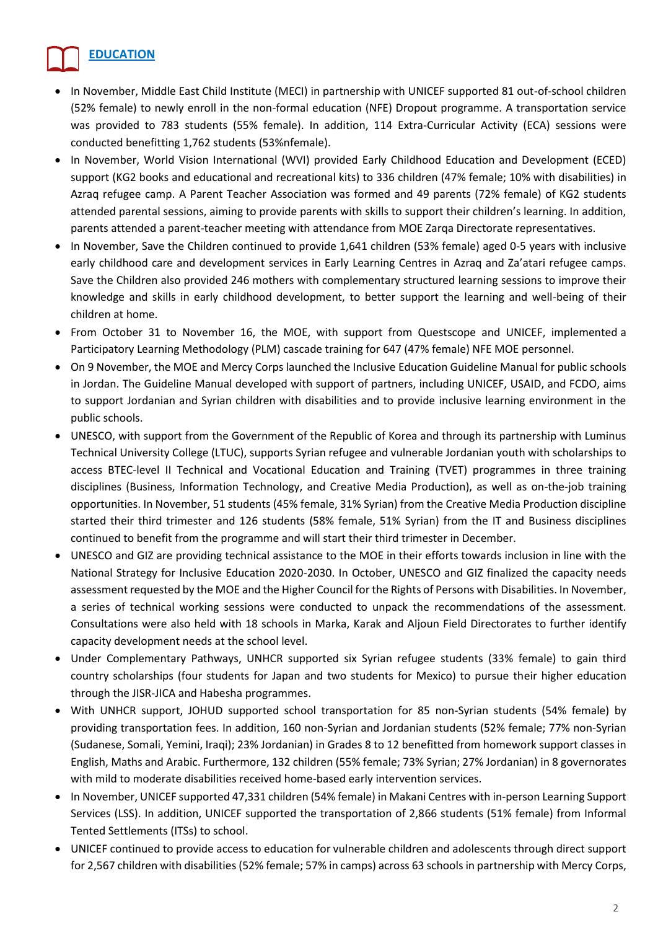## **EDUCATION**

- In November, Middle East Child Institute (MECI) in partnership with UNICEF supported 81 out-of-school children (52% female) to newly enroll in the non-formal education (NFE) Dropout programme. A transportation service was provided to 783 students (55% female). In addition, 114 Extra-Curricular Activity (ECA) sessions were conducted benefitting 1,762 students (53%nfemale).
- In November, World Vision International (WVI) provided Early Childhood Education and Development (ECED) support (KG2 books and educational and recreational kits) to 336 children (47% female; 10% with disabilities) in Azraq refugee camp. A Parent Teacher Association was formed and 49 parents (72% female) of KG2 students attended parental sessions, aiming to provide parents with skills to support their children's learning. In addition, parents attended a parent-teacher meeting with attendance from MOE Zarqa Directorate representatives.
- In November, Save the Children continued to provide 1,641 children (53% female) aged 0-5 years with inclusive early childhood care and development services in Early Learning Centres in Azraq and Za'atari refugee camps. Save the Children also provided 246 mothers with complementary structured learning sessions to improve their knowledge and skills in early childhood development, to better support the learning and well-being of their children at home.
- From October 31 to November 16, the MOE, with support from Questscope and UNICEF, implemented a Participatory Learning Methodology (PLM) cascade training for 647 (47% female) NFE MOE personnel.
- On 9 November, the MOE and Mercy Corps launched the Inclusive Education Guideline Manual for public schools in Jordan. The Guideline Manual developed with support of partners, including UNICEF, USAID, and FCDO, aims to support Jordanian and Syrian children with disabilities and to provide inclusive learning environment in the public schools.
- UNESCO, with support from the Government of the Republic of Korea and through its partnership with Luminus Technical University College (LTUC), supports Syrian refugee and vulnerable Jordanian youth with scholarships to access BTEC-level II Technical and Vocational Education and Training (TVET) programmes in three training disciplines (Business, Information Technology, and Creative Media Production), as well as on-the-job training opportunities. In November, 51 students (45% female, 31% Syrian) from the Creative Media Production discipline started their third trimester and 126 students (58% female, 51% Syrian) from the IT and Business disciplines continued to benefit from the programme and will start their third trimester in December.
- UNESCO and GIZ are providing technical assistance to the MOE in their efforts towards inclusion in line with the National Strategy for Inclusive Education 2020-2030. In October, UNESCO and GIZ finalized the capacity needs assessment requested by the MOE and the Higher Council for the Rights of Persons with Disabilities. In November, a series of technical working sessions were conducted to unpack the recommendations of the assessment. Consultations were also held with 18 schools in Marka, Karak and Aljoun Field Directorates to further identify capacity development needs at the school level.
- Under Complementary Pathways, UNHCR supported six Syrian refugee students (33% female) to gain third country scholarships (four students for Japan and two students for Mexico) to pursue their higher education through the JISR-JICA and Habesha programmes.
- With UNHCR support, JOHUD supported school transportation for 85 non-Syrian students (54% female) by providing transportation fees. In addition, 160 non-Syrian and Jordanian students (52% female; 77% non-Syrian (Sudanese, Somali, Yemini, Iraqi); 23% Jordanian) in Grades 8 to 12 benefitted from homework support classes in English, Maths and Arabic. Furthermore, 132 children (55% female; 73% Syrian; 27% Jordanian) in 8 governorates with mild to moderate disabilities received home-based early intervention services.
- In November, UNICEF supported 47,331 children (54% female) in Makani Centres with in-person Learning Support Services (LSS). In addition, UNICEF supported the transportation of 2,866 students (51% female) from Informal Tented Settlements (ITSs) to school.
- UNICEF continued to provide access to education for vulnerable children and adolescents through direct support for 2,567 children with disabilities (52% female; 57% in camps) across 63 schools in partnership with Mercy Corps,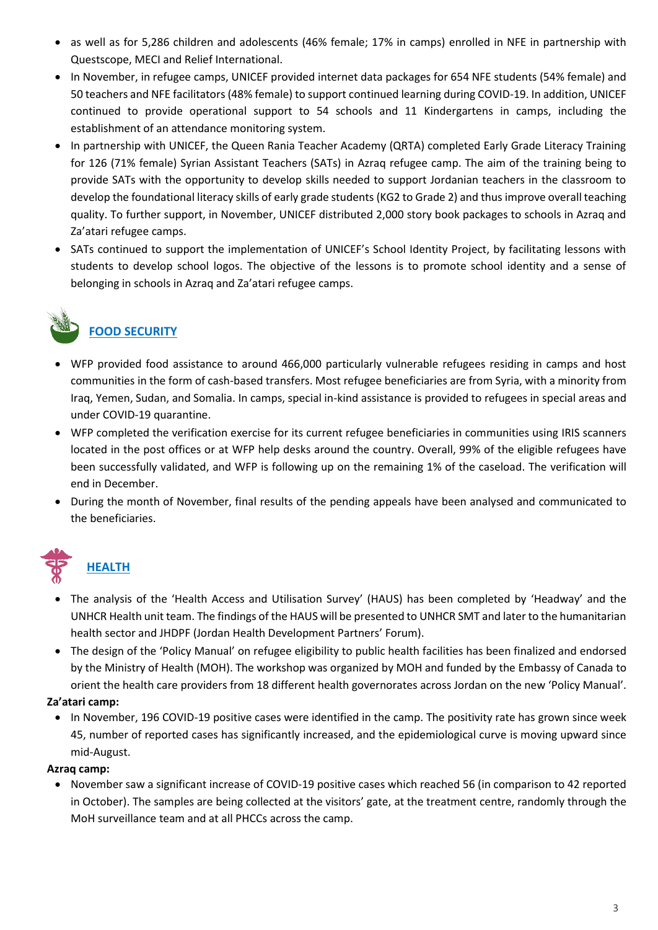- as well as for 5,286 children and adolescents (46% female; 17% in camps) enrolled in NFE in partnership with Questscope, MECI and Relief International.
- In November, in refugee camps, UNICEF provided internet data packages for 654 NFE students (54% female) and 50 teachers and NFE facilitators (48% female) to support continued learning during COVID-19. In addition, UNICEF continued to provide operational support to 54 schools and 11 Kindergartens in camps, including the establishment of an attendance monitoring system.
- In partnership with UNICEF, the Queen Rania Teacher Academy (QRTA) completed Early Grade Literacy Training for 126 (71% female) Syrian Assistant Teachers (SATs) in Azraq refugee camp. The aim of the training being to provide SATs with the opportunity to develop skills needed to support Jordanian teachers in the classroom to develop the foundational literacy skills of early grade students (KG2 to Grade 2) and thus improve overall teaching quality. To further support, in November, UNICEF distributed 2,000 story book packages to schools in Azraq and Za'atari refugee camps.
- SATs continued to support the implementation of UNICEF's School Identity Project, by facilitating lessons with students to develop school logos. The objective of the lessons is to promote school identity and a sense of belonging in schools in Azraq and Za'atari refugee camps.

# **FOOD SECURITY**

- WFP provided food assistance to around 466,000 particularly vulnerable refugees residing in camps and host communities in the form of cash-based transfers. Most refugee beneficiaries are from Syria, with a minority from Iraq, Yemen, Sudan, and Somalia. In camps, special in-kind assistance is provided to refugees in special areas and under COVID-19 quarantine.
- WFP completed the verification exercise for its current refugee beneficiaries in communities using IRIS scanners located in the post offices or at WFP help desks around the country. Overall, 99% of the eligible refugees have been successfully validated, and WFP is following up on the remaining 1% of the caseload. The verification will end in December.
- During the month of November, final results of the pending appeals have been analysed and communicated to the beneficiaries.

# **HEALTH**

- The analysis of the 'Health Access and Utilisation Survey' (HAUS) has been completed by 'Headway' and the UNHCR Health unit team. The findings of the HAUS will be presented to UNHCR SMT and later to the humanitarian health sector and JHDPF (Jordan Health Development Partners' Forum).
- The design of the 'Policy Manual' on refugee eligibility to public health facilities has been finalized and endorsed by the Ministry of Health (MOH). The workshop was organized by MOH and funded by the Embassy of Canada to orient the health care providers from 18 different health governorates across Jordan on the new 'Policy Manual'.

## **Za'atari camp:**

• In November, 196 COVID-19 positive cases were identified in the camp. The positivity rate has grown since week 45, number of reported cases has significantly increased, and the epidemiological curve is moving upward since mid-August.

## **Azraq camp:**

• November saw a significant increase of COVID-19 positive cases which reached 56 (in comparison to 42 reported in October). The samples are being collected at the visitors' gate, at the treatment centre, randomly through the MoH surveillance team and at all PHCCs across the camp.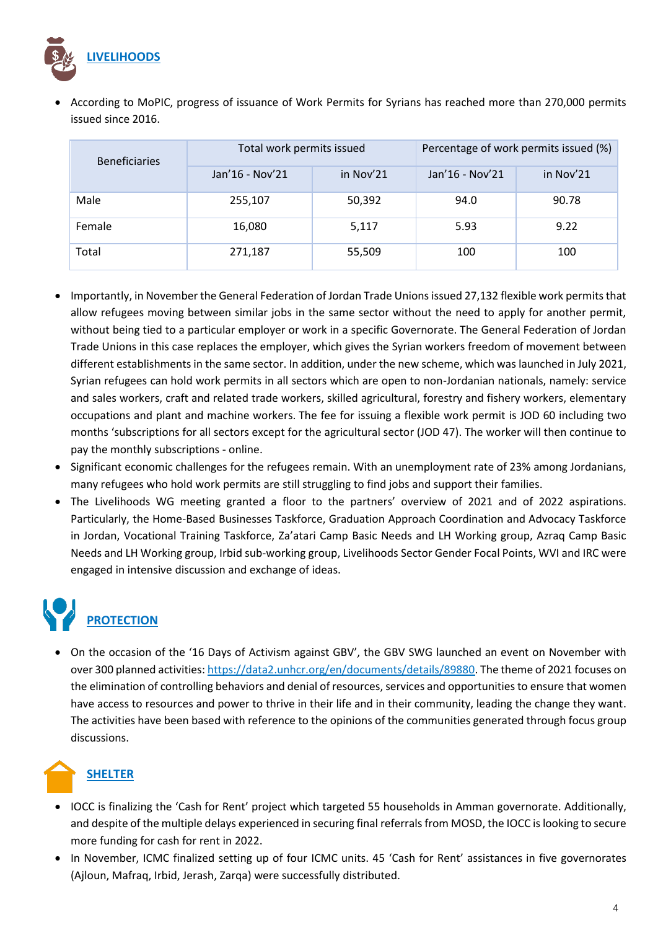

• According to MoPIC, progress of issuance of Work Permits for Syrians has reached more than 270,000 permits issued since 2016.

| <b>Beneficiaries</b> | Total work permits issued |           | Percentage of work permits issued (%) |           |
|----------------------|---------------------------|-----------|---------------------------------------|-----------|
|                      | Jan'16 - Nov'21           | in Nov'21 | Jan'16 - Nov'21                       | in Nov'21 |
| Male                 | 255,107                   | 50,392    | 94.0                                  | 90.78     |
| Female               | 16,080                    | 5,117     | 5.93                                  | 9.22      |
| Total                | 271,187                   | 55,509    | 100                                   | 100       |

- Importantly, in November the General Federation of Jordan Trade Unions issued 27,132 flexible work permits that allow refugees moving between similar jobs in the same sector without the need to apply for another permit, without being tied to a particular employer or work in a specific Governorate. The General Federation of Jordan Trade Unions in this case replaces the employer, which gives the Syrian workers freedom of movement between different establishments in the same sector. In addition, under the new scheme, which was launched in July 2021, Syrian refugees can hold work permits in all sectors which are open to non-Jordanian nationals, namely: service and sales workers, craft and related trade workers, skilled agricultural, forestry and fishery workers, elementary occupations and plant and machine workers. The fee for issuing a flexible work permit is JOD 60 including two months 'subscriptions for all sectors except for the agricultural sector (JOD 47). The worker will then continue to pay the monthly subscriptions - online.
- Significant economic challenges for the refugees remain. With an unemployment rate of 23% among Jordanians, many refugees who hold work permits are still struggling to find jobs and support their families.
- The Livelihoods WG meeting granted a floor to the partners' overview of 2021 and of 2022 aspirations. Particularly, the Home-Based Businesses Taskforce, Graduation Approach Coordination and Advocacy Taskforce in Jordan, Vocational Training Taskforce, Za'atari Camp Basic Needs and LH Working group, Azraq Camp Basic Needs and LH Working group, Irbid sub-working group, Livelihoods Sector Gender Focal Points, WVI and IRC were engaged in intensive discussion and exchange of ideas.

# **PROTECTION**

• On the occasion of the '16 Days of Activism against GBV', the GBV SWG launched an event on November with over 300 planned activities: [https://data2.unhcr.org/en/documents/details/89880.](https://eur02.safelinks.protection.outlook.com/?url=https%3A%2F%2Fdata2.unhcr.org%2Fen%2Fdocuments%2Fdetails%2F89880&data=04%7C01%7Cguseva%40unhcr.org%7C02cea8d8bdb04191c79908d9db4f04be%7Ce5c37981666441348a0c6543d2af80be%7C0%7C0%7C637781954683842164%7CUnknown%7CTWFpbGZsb3d8eyJWIjoiMC4wLjAwMDAiLCJQIjoiV2luMzIiLCJBTiI6Ik1haWwiLCJXVCI6Mn0%3D%7C3000&sdata=7bN3YVLIBNKvpTXsWdXx3TkJoQ%2FYwDbvUSiaX96EQSU%3D&reserved=0) The theme of 2021 focuses on the elimination of controlling behaviors and denial of resources, services and opportunities to ensure that women have access to resources and power to thrive in their life and in their community, leading the change they want. The activities have been based with reference to the opinions of the communities generated through focus group discussions.

# **SHELTER**

- IOCC is finalizing the 'Cash for Rent' project which targeted 55 households in Amman governorate. Additionally, and despite of the multiple delays experienced in securing final referrals from MOSD, the IOCC is looking to secure more funding for cash for rent in 2022.
- In November, ICMC finalized setting up of four ICMC units. 45 'Cash for Rent' assistances in five governorates (Ajloun, Mafraq, Irbid, Jerash, Zarqa) were successfully distributed.